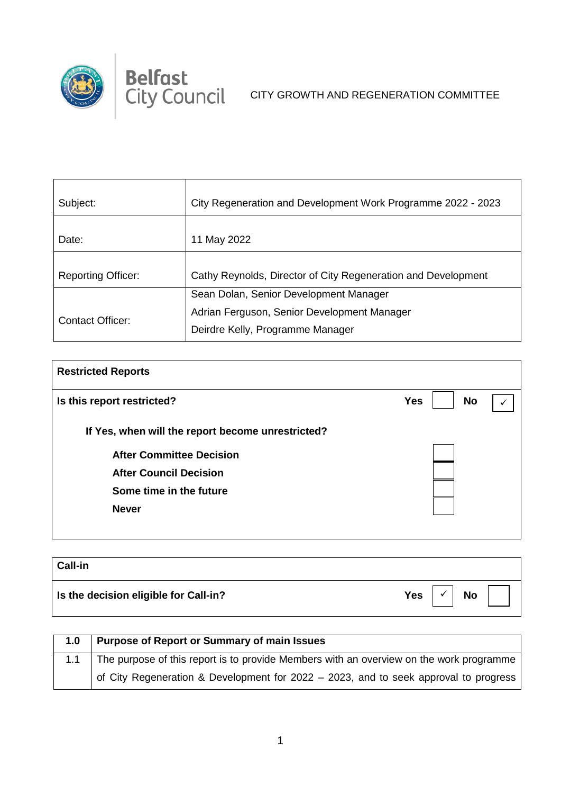

 $\top$ 

<u> 1989 - Johann Barnett, fransk politiker (d. 1989)</u>

| Subject:                  | City Regeneration and Development Work Programme 2022 - 2023                    |
|---------------------------|---------------------------------------------------------------------------------|
| Date:                     | 11 May 2022                                                                     |
| <b>Reporting Officer:</b> | Cathy Reynolds, Director of City Regeneration and Development                   |
|                           | Sean Dolan, Senior Development Manager                                          |
| Contact Officer:          | Adrian Ferguson, Senior Development Manager<br>Deirdre Kelly, Programme Manager |

| <b>Restricted Reports</b>                         |                         |  |
|---------------------------------------------------|-------------------------|--|
| Is this report restricted?                        | <b>No</b><br><b>Yes</b> |  |
| If Yes, when will the report become unrestricted? |                         |  |
| <b>After Committee Decision</b>                   |                         |  |
| <b>After Council Decision</b>                     |                         |  |
| Some time in the future                           |                         |  |
| <b>Never</b>                                      |                         |  |
|                                                   |                         |  |

| <b>Call-in</b>                        |                         |
|---------------------------------------|-------------------------|
| Is the decision eligible for Call-in? | <b>Yes</b><br><b>No</b> |

| 1.0 | <b>Purpose of Report or Summary of main Issues</b>                                      |
|-----|-----------------------------------------------------------------------------------------|
|     | The purpose of this report is to provide Members with an overview on the work programme |
|     | of City Regeneration & Development for 2022 – 2023, and to seek approval to progress    |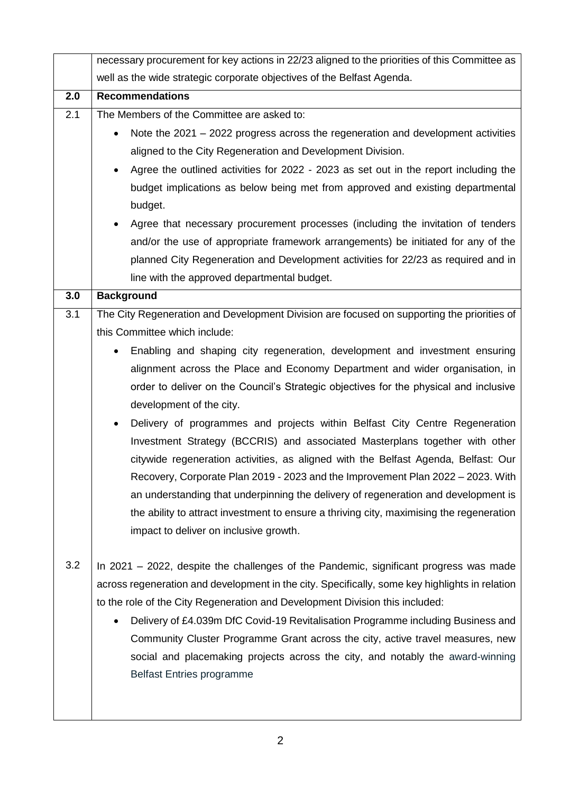|     | necessary procurement for key actions in 22/23 aligned to the priorities of this Committee as     |  |
|-----|---------------------------------------------------------------------------------------------------|--|
|     | well as the wide strategic corporate objectives of the Belfast Agenda.                            |  |
| 2.0 | <b>Recommendations</b>                                                                            |  |
| 2.1 | The Members of the Committee are asked to:                                                        |  |
|     | Note the $2021 - 2022$ progress across the regeneration and development activities                |  |
|     | aligned to the City Regeneration and Development Division.                                        |  |
|     | Agree the outlined activities for 2022 - 2023 as set out in the report including the<br>$\bullet$ |  |
|     | budget implications as below being met from approved and existing departmental                    |  |
|     | budget.                                                                                           |  |
|     | Agree that necessary procurement processes (including the invitation of tenders                   |  |
|     | and/or the use of appropriate framework arrangements) be initiated for any of the                 |  |
|     | planned City Regeneration and Development activities for 22/23 as required and in                 |  |
|     | line with the approved departmental budget.                                                       |  |
| 3.0 | <b>Background</b>                                                                                 |  |
| 3.1 | The City Regeneration and Development Division are focused on supporting the priorities of        |  |
|     | this Committee which include:                                                                     |  |
|     | Enabling and shaping city regeneration, development and investment ensuring<br>$\bullet$          |  |
|     | alignment across the Place and Economy Department and wider organisation, in                      |  |
|     | order to deliver on the Council's Strategic objectives for the physical and inclusive             |  |
|     | development of the city.                                                                          |  |
|     | Delivery of programmes and projects within Belfast City Centre Regeneration<br>$\bullet$          |  |
|     | Investment Strategy (BCCRIS) and associated Masterplans together with other                       |  |
|     | citywide regeneration activities, as aligned with the Belfast Agenda, Belfast: Our                |  |
|     | Recovery, Corporate Plan 2019 - 2023 and the Improvement Plan 2022 - 2023. With                   |  |
|     | an understanding that underpinning the delivery of regeneration and development is                |  |
|     | the ability to attract investment to ensure a thriving city, maximising the regeneration          |  |
|     | impact to deliver on inclusive growth.                                                            |  |
|     |                                                                                                   |  |
| 3.2 | In 2021 – 2022, despite the challenges of the Pandemic, significant progress was made             |  |
|     | across regeneration and development in the city. Specifically, some key highlights in relation    |  |
|     | to the role of the City Regeneration and Development Division this included:                      |  |
|     | Delivery of £4.039m DfC Covid-19 Revitalisation Programme including Business and<br>$\bullet$     |  |
|     | Community Cluster Programme Grant across the city, active travel measures, new                    |  |
|     | social and placemaking projects across the city, and notably the award-winning                    |  |
|     | <b>Belfast Entries programme</b>                                                                  |  |
|     |                                                                                                   |  |
|     |                                                                                                   |  |

2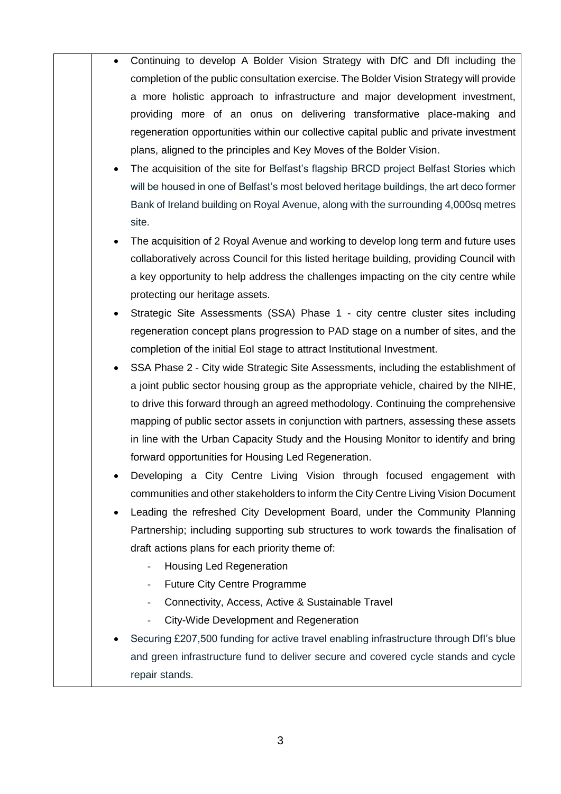Continuing to develop A Bolder Vision Strategy with DfC and DfI including the completion of the public consultation exercise. The Bolder Vision Strategy will provide a more holistic approach to infrastructure and major development investment, providing more of an onus on delivering transformative place-making and regeneration opportunities within our collective capital public and private investment plans, aligned to the principles and Key Moves of the Bolder Vision. The acquisition of the site for Belfast's flagship BRCD project Belfast Stories which will be housed in one of Belfast's most beloved heritage buildings, the art deco former Bank of Ireland building on Royal Avenue, along with the surrounding 4,000sq metres site. The acquisition of 2 Royal Avenue and working to develop long term and future uses collaboratively across Council for this listed heritage building, providing Council with a key opportunity to help address the challenges impacting on the city centre while protecting our heritage assets. Strategic Site Assessments (SSA) Phase 1 - city centre cluster sites including regeneration concept plans progression to PAD stage on a number of sites, and the completion of the initial EoI stage to attract Institutional Investment. SSA Phase 2 - City wide Strategic Site Assessments, including the establishment of a joint public sector housing group as the appropriate vehicle, chaired by the NIHE, to drive this forward through an agreed methodology. Continuing the comprehensive mapping of public sector assets in conjunction with partners, assessing these assets in line with the Urban Capacity Study and the Housing Monitor to identify and bring forward opportunities for Housing Led Regeneration. Developing a City Centre Living Vision through focused engagement with communities and other stakeholders to inform the City Centre Living Vision Document Leading the refreshed City Development Board, under the Community Planning Partnership; including supporting sub structures to work towards the finalisation of draft actions plans for each priority theme of: - Housing Led Regeneration Future City Centre Programme Connectivity, Access, Active & Sustainable Travel City-Wide Development and Regeneration Securing £207,500 funding for active travel enabling infrastructure through DfI's blue and green infrastructure fund to deliver secure and covered cycle stands and cycle repair stands.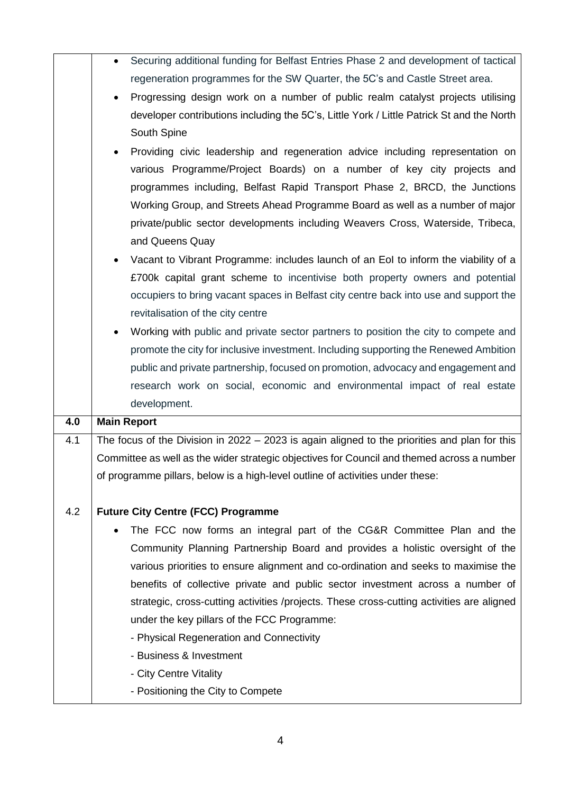|     | Securing additional funding for Belfast Entries Phase 2 and development of tactical<br>$\bullet$ |
|-----|--------------------------------------------------------------------------------------------------|
|     | regeneration programmes for the SW Quarter, the 5C's and Castle Street area.                     |
|     | Progressing design work on a number of public realm catalyst projects utilising                  |
|     | developer contributions including the 5C's, Little York / Little Patrick St and the North        |
|     | South Spine                                                                                      |
|     | Providing civic leadership and regeneration advice including representation on                   |
|     | various Programme/Project Boards) on a number of key city projects and                           |
|     | programmes including, Belfast Rapid Transport Phase 2, BRCD, the Junctions                       |
|     | Working Group, and Streets Ahead Programme Board as well as a number of major                    |
|     | private/public sector developments including Weavers Cross, Waterside, Tribeca,                  |
|     | and Queens Quay                                                                                  |
|     | Vacant to Vibrant Programme: includes launch of an Eol to inform the viability of a              |
|     | £700k capital grant scheme to incentivise both property owners and potential                     |
|     | occupiers to bring vacant spaces in Belfast city centre back into use and support the            |
|     | revitalisation of the city centre                                                                |
|     | Working with public and private sector partners to position the city to compete and              |
|     | promote the city for inclusive investment. Including supporting the Renewed Ambition             |
|     | public and private partnership, focused on promotion, advocacy and engagement and                |
|     | research work on social, economic and environmental impact of real estate                        |
|     | development.                                                                                     |
| 4.0 | <b>Main Report</b>                                                                               |
| 4.1 | The focus of the Division in 2022 $-$ 2023 is again aligned to the priorities and plan for this  |
|     | Committee as well as the wider strategic objectives for Council and themed across a number       |
|     |                                                                                                  |
|     |                                                                                                  |
|     | of programme pillars, below is a high-level outline of activities under these:                   |
| 4.2 |                                                                                                  |
|     | <b>Future City Centre (FCC) Programme</b>                                                        |
|     | The FCC now forms an integral part of the CG&R Committee Plan and the                            |
|     | Community Planning Partnership Board and provides a holistic oversight of the                    |
|     | various priorities to ensure alignment and co-ordination and seeks to maximise the               |
|     | benefits of collective private and public sector investment across a number of                   |
|     | strategic, cross-cutting activities /projects. These cross-cutting activities are aligned        |
|     | under the key pillars of the FCC Programme:                                                      |
|     | - Physical Regeneration and Connectivity                                                         |
|     | - Business & Investment                                                                          |
|     | - City Centre Vitality<br>- Positioning the City to Compete                                      |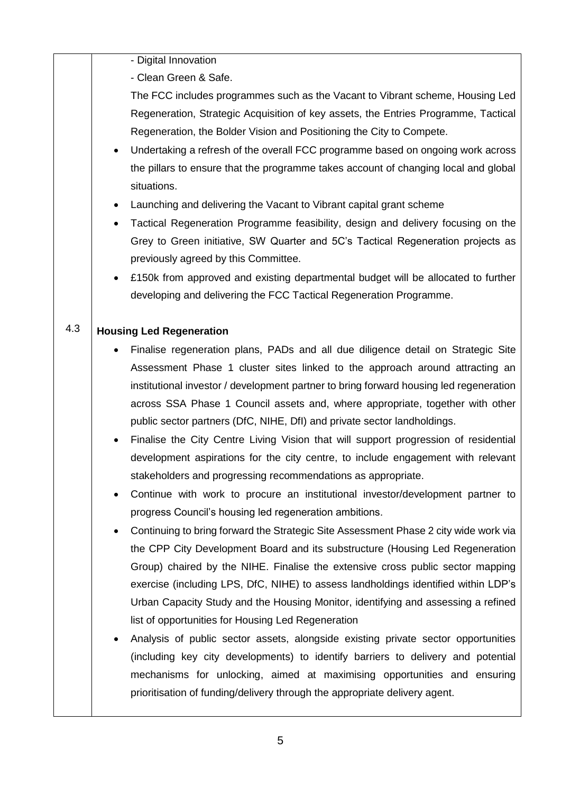|     |           | - Digital Innovation                                                                   |
|-----|-----------|----------------------------------------------------------------------------------------|
|     |           | - Clean Green & Safe.                                                                  |
|     |           | The FCC includes programmes such as the Vacant to Vibrant scheme, Housing Led          |
|     |           | Regeneration, Strategic Acquisition of key assets, the Entries Programme, Tactical     |
|     |           | Regeneration, the Bolder Vision and Positioning the City to Compete.                   |
|     |           | Undertaking a refresh of the overall FCC programme based on ongoing work across        |
|     |           | the pillars to ensure that the programme takes account of changing local and global    |
|     |           | situations.                                                                            |
|     | $\bullet$ | Launching and delivering the Vacant to Vibrant capital grant scheme                    |
|     | $\bullet$ | Tactical Regeneration Programme feasibility, design and delivery focusing on the       |
|     |           | Grey to Green initiative, SW Quarter and 5C's Tactical Regeneration projects as        |
|     |           | previously agreed by this Committee.                                                   |
|     | $\bullet$ | £150k from approved and existing departmental budget will be allocated to further      |
|     |           | developing and delivering the FCC Tactical Regeneration Programme.                     |
| 4.3 |           | <b>Housing Led Regeneration</b>                                                        |
|     |           | Finalise regeneration plans, PADs and all due diligence detail on Strategic Site       |
|     |           | Assessment Phase 1 cluster sites linked to the approach around attracting an           |
|     |           | institutional investor / development partner to bring forward housing led regeneration |
|     |           | across SSA Phase 1 Council assets and, where appropriate, together with other          |
|     |           | public sector partners (DfC, NIHE, DfI) and private sector landholdings.               |
|     | $\bullet$ | Finalise the City Centre Living Vision that will support progression of residential    |
|     |           | development aspirations for the city centre, to include engagement with relevant       |
|     |           | stakeholders and progressing recommendations as appropriate.                           |
|     |           | Continue with work to procure an institutional investor/development partner to         |
|     |           | progress Council's housing led regeneration ambitions.                                 |
|     | $\bullet$ | Continuing to bring forward the Strategic Site Assessment Phase 2 city wide work via   |
|     |           | the CPP City Development Board and its substructure (Housing Led Regeneration          |
|     |           | Group) chaired by the NIHE. Finalise the extensive cross public sector mapping         |
|     |           | exercise (including LPS, DfC, NIHE) to assess landholdings identified within LDP's     |
|     |           | Urban Capacity Study and the Housing Monitor, identifying and assessing a refined      |
|     |           | list of opportunities for Housing Led Regeneration                                     |
|     | $\bullet$ | Analysis of public sector assets, alongside existing private sector opportunities      |
|     |           | (including key city developments) to identify barriers to delivery and potential       |
|     |           |                                                                                        |
|     |           | mechanisms for unlocking, aimed at maximising opportunities and ensuring               |
|     |           | prioritisation of funding/delivery through the appropriate delivery agent.             |
|     |           |                                                                                        |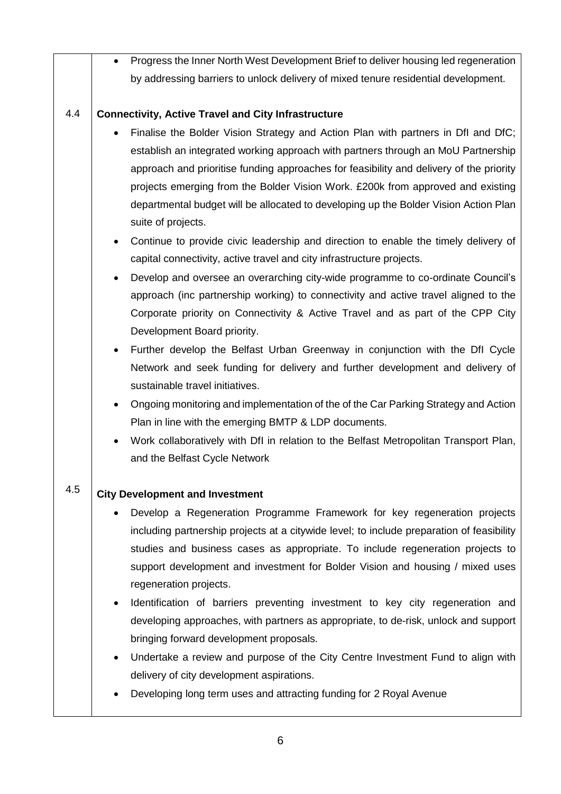|     | Progress the Inner North West Development Brief to deliver housing led regeneration<br>$\bullet$   |  |
|-----|----------------------------------------------------------------------------------------------------|--|
|     | by addressing barriers to unlock delivery of mixed tenure residential development.                 |  |
|     |                                                                                                    |  |
| 4.4 | <b>Connectivity, Active Travel and City Infrastructure</b>                                         |  |
|     | Finalise the Bolder Vision Strategy and Action Plan with partners in Dfl and DfC;                  |  |
|     | establish an integrated working approach with partners through an MoU Partnership                  |  |
|     | approach and prioritise funding approaches for feasibility and delivery of the priority            |  |
|     | projects emerging from the Bolder Vision Work. £200k from approved and existing                    |  |
|     | departmental budget will be allocated to developing up the Bolder Vision Action Plan               |  |
|     | suite of projects.                                                                                 |  |
|     | Continue to provide civic leadership and direction to enable the timely delivery of<br>$\bullet$   |  |
|     | capital connectivity, active travel and city infrastructure projects.                              |  |
|     | Develop and oversee an overarching city-wide programme to co-ordinate Council's<br>$\bullet$       |  |
|     | approach (inc partnership working) to connectivity and active travel aligned to the                |  |
|     | Corporate priority on Connectivity & Active Travel and as part of the CPP City                     |  |
|     | Development Board priority.                                                                        |  |
|     | Further develop the Belfast Urban Greenway in conjunction with the Dfl Cycle<br>$\bullet$          |  |
|     | Network and seek funding for delivery and further development and delivery of                      |  |
|     | sustainable travel initiatives.                                                                    |  |
|     | Ongoing monitoring and implementation of the of the Car Parking Strategy and Action<br>$\bullet$   |  |
|     | Plan in line with the emerging BMTP & LDP documents.                                               |  |
|     | Work collaboratively with DfI in relation to the Belfast Metropolitan Transport Plan,<br>$\bullet$ |  |
|     | and the Belfast Cycle Network                                                                      |  |
| 4.5 |                                                                                                    |  |
|     | <b>City Development and Investment</b>                                                             |  |
|     | Develop a Regeneration Programme Framework for key regeneration projects                           |  |
|     | including partnership projects at a citywide level; to include preparation of feasibility          |  |
|     | studies and business cases as appropriate. To include regeneration projects to                     |  |
|     | support development and investment for Bolder Vision and housing / mixed uses                      |  |
|     | regeneration projects.                                                                             |  |
|     | Identification of barriers preventing investment to key city regeneration and<br>$\bullet$         |  |
|     | developing approaches, with partners as appropriate, to de-risk, unlock and support                |  |
|     | bringing forward development proposals.                                                            |  |
|     | Undertake a review and purpose of the City Centre Investment Fund to align with                    |  |
|     | delivery of city development aspirations.                                                          |  |
|     | Developing long term uses and attracting funding for 2 Royal Avenue                                |  |
|     |                                                                                                    |  |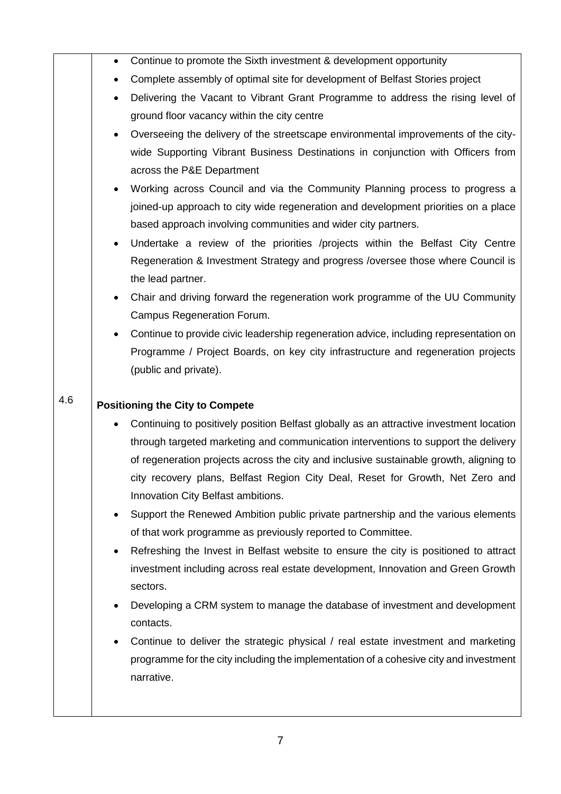|     | $\bullet$ | Continue to promote the Sixth investment & development opportunity                        |
|-----|-----------|-------------------------------------------------------------------------------------------|
|     | $\bullet$ | Complete assembly of optimal site for development of Belfast Stories project              |
|     |           | Delivering the Vacant to Vibrant Grant Programme to address the rising level of           |
|     |           | ground floor vacancy within the city centre                                               |
|     | $\bullet$ | Overseeing the delivery of the streetscape environmental improvements of the city-        |
|     |           | wide Supporting Vibrant Business Destinations in conjunction with Officers from           |
|     |           | across the P&E Department                                                                 |
|     |           | Working across Council and via the Community Planning process to progress a               |
|     |           | joined-up approach to city wide regeneration and development priorities on a place        |
|     |           | based approach involving communities and wider city partners.                             |
|     | $\bullet$ | Undertake a review of the priorities /projects within the Belfast City Centre             |
|     |           | Regeneration & Investment Strategy and progress / oversee those where Council is          |
|     |           | the lead partner.                                                                         |
|     |           | Chair and driving forward the regeneration work programme of the UU Community             |
|     |           | Campus Regeneration Forum.                                                                |
|     |           | Continue to provide civic leadership regeneration advice, including representation on     |
|     |           | Programme / Project Boards, on key city infrastructure and regeneration projects          |
|     |           | (public and private).                                                                     |
|     |           |                                                                                           |
|     |           |                                                                                           |
| 4.6 |           | <b>Positioning the City to Compete</b>                                                    |
|     |           | Continuing to positively position Belfast globally as an attractive investment location   |
|     |           | through targeted marketing and communication interventions to support the delivery        |
|     |           | of regeneration projects across the city and inclusive sustainable growth, aligning to    |
|     |           | city recovery plans, Belfast Region City Deal, Reset for Growth, Net Zero and             |
|     |           | Innovation City Belfast ambitions.                                                        |
|     |           | Support the Renewed Ambition public private partnership and the various elements          |
|     |           | of that work programme as previously reported to Committee.                               |
|     |           | Refreshing the Invest in Belfast website to ensure the city is positioned to attract      |
|     |           | investment including across real estate development, Innovation and Green Growth          |
|     |           | sectors.                                                                                  |
|     |           | Developing a CRM system to manage the database of investment and development<br>contacts. |
|     |           | Continue to deliver the strategic physical / real estate investment and marketing         |
|     |           | programme for the city including the implementation of a cohesive city and investment     |
|     |           | narrative.                                                                                |